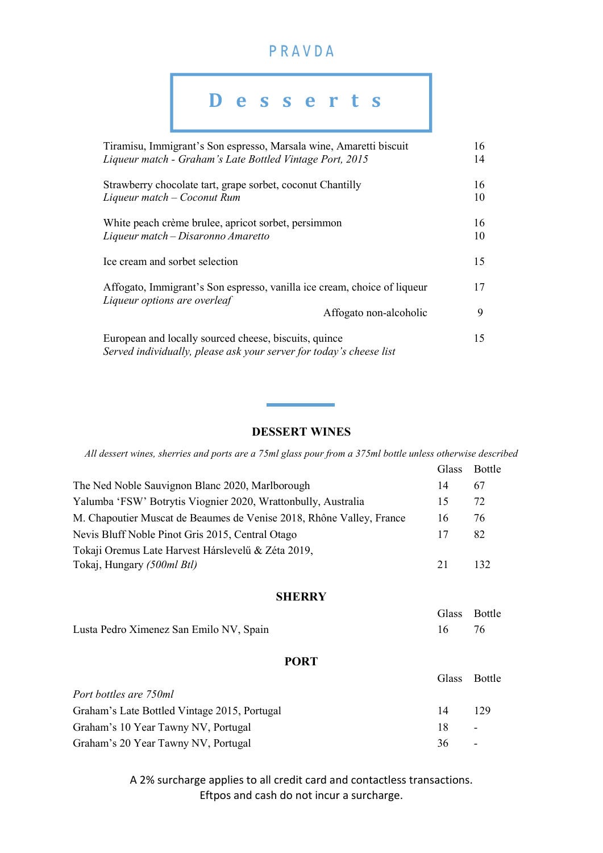## PRAVDA

# Tiramisu, Immigrant's Son espresso, Marsala wine, Amaretti biscuit 16 Liqueur match - Graham's Late Bottled Vintage Port, 2015 14 Strawberry chocolate tart, grape sorbet, coconut Chantilly 16 Liqueur match – Coconut Rum 10 White peach crème brulee, apricot sorbet, persimmon 16 Liqueur match – Disaronno Amaretto 10 Ice cream and sorbet selection 15 Affogato, Immigrant's Son espresso, vanilla ice cream, choice of liqueur 17 Liqueur options are overleaf Affogato non-alcoholic 9 European and locally sourced cheese, biscuits, quince 15 Served individually, please ask your server for today's cheese list D e s s e r t s

#### DESSERT WINES

All dessert wines, sherries and ports are a 75ml glass pour from a 375ml bottle unless otherwise described

| The Ned Noble Sauvignon Blanc 2020, Marlborough<br>67<br>14                      |  |
|----------------------------------------------------------------------------------|--|
| Yalumba 'FSW' Botrytis Viognier 2020, Wrattonbully, Australia<br>72<br>15        |  |
| M. Chapoutier Muscat de Beaumes de Venise 2018, Rhône Valley, France<br>76<br>16 |  |
| Nevis Bluff Noble Pinot Gris 2015, Central Otago<br>82<br>17                     |  |
| Tokaji Oremus Late Harvest Hárslevelű & Zéta 2019,                               |  |
| Tokaj, Hungary (500ml Btl)<br>21<br>132                                          |  |

#### **SHERRY**

|                                         | Glass Bottle |
|-----------------------------------------|--------------|
| Lusta Pedro Ximenez San Emilo NV, Spain |              |

#### PORT

| Glass Bottle |                |
|--------------|----------------|
|              |                |
| 14           | 129            |
| 18           | $\overline{a}$ |
|              | $\sim$ $-$     |
|              | 36             |

A 2% surcharge applies to all credit card and contactless transactions. Eftpos and cash do not incur a surcharge.